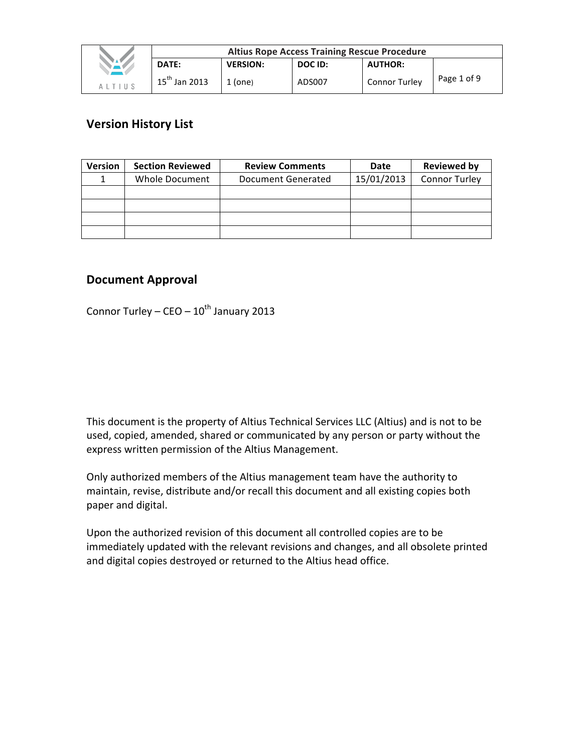|                                         | <b>Altius Rope Access Training Rescue Procedure</b> |                 |         |                      |             |
|-----------------------------------------|-----------------------------------------------------|-----------------|---------|----------------------|-------------|
| <b>STAR</b>                             | <b>DATE:</b>                                        | <b>VERSION:</b> | DOC ID: | <b>AUTHOR:</b>       |             |
| $A$ $\perp$ $T$ $\perp$ $\parallel$ $S$ | $15^{th}$ Jan 2013                                  | $1$ (one)       | ADS007  | <b>Connor Turley</b> | Page 1 of 9 |

# **Version History List**

| <b>Version</b> | <b>Section Reviewed</b> | <b>Review Comments</b> | Date       | <b>Reviewed by</b>   |
|----------------|-------------------------|------------------------|------------|----------------------|
|                | Whole Document          | Document Generated     | 15/01/2013 | <b>Connor Turley</b> |
|                |                         |                        |            |                      |
|                |                         |                        |            |                      |
|                |                         |                        |            |                      |
|                |                         |                        |            |                      |

# **Document Approval**

Connor Turley –  $CEO - 10^{th}$  January 2013

This document is the property of Altius Technical Services LLC (Altius) and is not to be used, copied, amended, shared or communicated by any person or party without the express written permission of the Altius Management.

Only authorized members of the Altius management team have the authority to maintain, revise, distribute and/or recall this document and all existing copies both paper and digital.

Upon the authorized revision of this document all controlled copies are to be immediately updated with the relevant revisions and changes, and all obsolete printed and digital copies destroyed or returned to the Altius head office.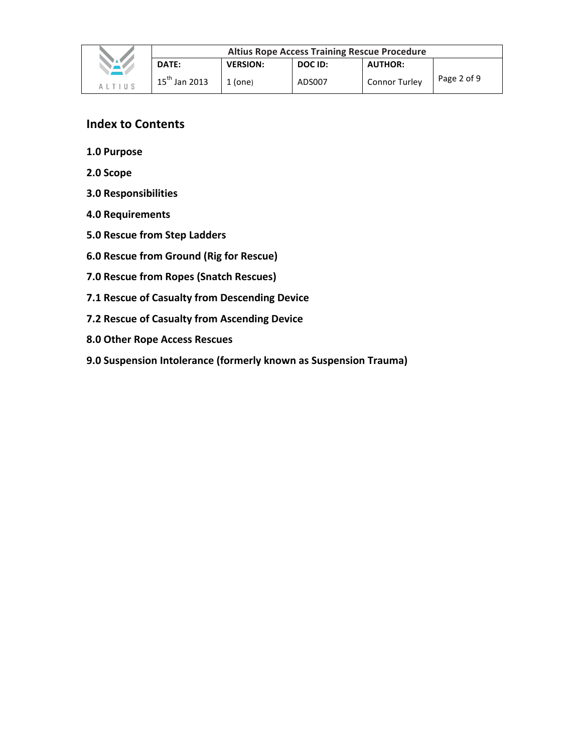

# **Index to Contents**

- **1.0 Purpose**
- **2.0 Scope**
- **3.0 Responsibilities**
- **4.0 Requirements**
- **5.0 Rescue from Step Ladders**
- **6.0 Rescue from Ground (Rig for Rescue)**
- **7.0 Rescue from Ropes (Snatch Rescues)**
- **7.1 Rescue of Casualty from Descending Device**
- **7.2 Rescue of Casualty from Ascending Device**
- **8.0 Other Rope Access Rescues**
- **9.0 Suspension Intolerance (formerly known as Suspension Trauma)**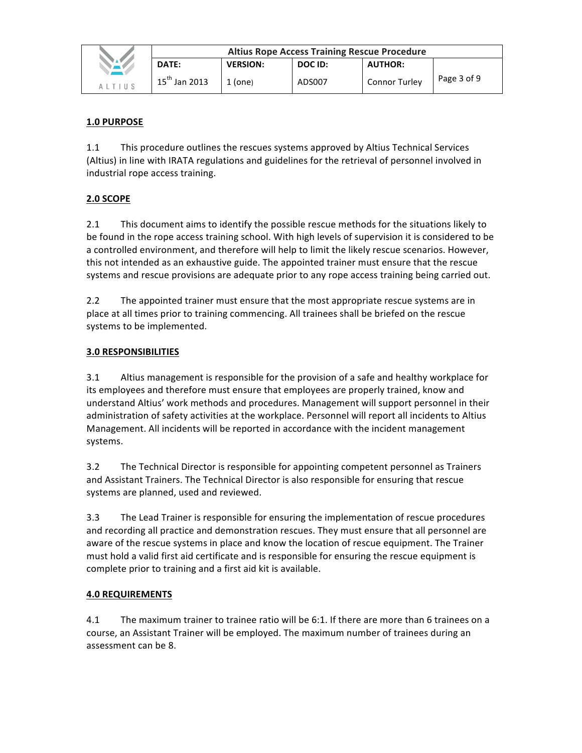|                                         | <b>Altius Rope Access Training Rescue Procedure</b> |                 |         |                      |             |
|-----------------------------------------|-----------------------------------------------------|-----------------|---------|----------------------|-------------|
|                                         | DATE:                                               | <b>VERSION:</b> | DOC ID: | <b>AUTHOR:</b>       |             |
| $A$ $\perp$ $T$ $\perp$ $\parallel$ $S$ | $15^{th}$ Jan 2013                                  | $1$ (one)       | ADS007  | <b>Connor Turley</b> | Page 3 of 9 |

## **1.0 PURPOSE**

1.1 This procedure outlines the rescues systems approved by Altius Technical Services (Altius) in line with IRATA regulations and guidelines for the retrieval of personnel involved in industrial rope access training.

# **2.0 SCOPE**

2.1 This document aims to identify the possible rescue methods for the situations likely to be found in the rope access training school. With high levels of supervision it is considered to be a controlled environment, and therefore will help to limit the likely rescue scenarios. However, this not intended as an exhaustive guide. The appointed trainer must ensure that the rescue systems and rescue provisions are adequate prior to any rope access training being carried out.

2.2 The appointed trainer must ensure that the most appropriate rescue systems are in place at all times prior to training commencing. All trainees shall be briefed on the rescue systems to be implemented.

#### **3.0 RESPONSIBILITIES**

3.1 Altius management is responsible for the provision of a safe and healthy workplace for its employees and therefore must ensure that employees are properly trained, know and understand Altius' work methods and procedures. Management will support personnel in their administration of safety activities at the workplace. Personnel will report all incidents to Altius Management. All incidents will be reported in accordance with the incident management systems.

3.2 The Technical Director is responsible for appointing competent personnel as Trainers and Assistant Trainers. The Technical Director is also responsible for ensuring that rescue systems are planned, used and reviewed.

3.3 The Lead Trainer is responsible for ensuring the implementation of rescue procedures and recording all practice and demonstration rescues. They must ensure that all personnel are aware of the rescue systems in place and know the location of rescue equipment. The Trainer must hold a valid first aid certificate and is responsible for ensuring the rescue equipment is complete prior to training and a first aid kit is available.

## **4.0 REQUIREMENTS**

4.1 The maximum trainer to trainee ratio will be 6:1. If there are more than 6 trainees on a course, an Assistant Trainer will be employed. The maximum number of trainees during an assessment can be 8.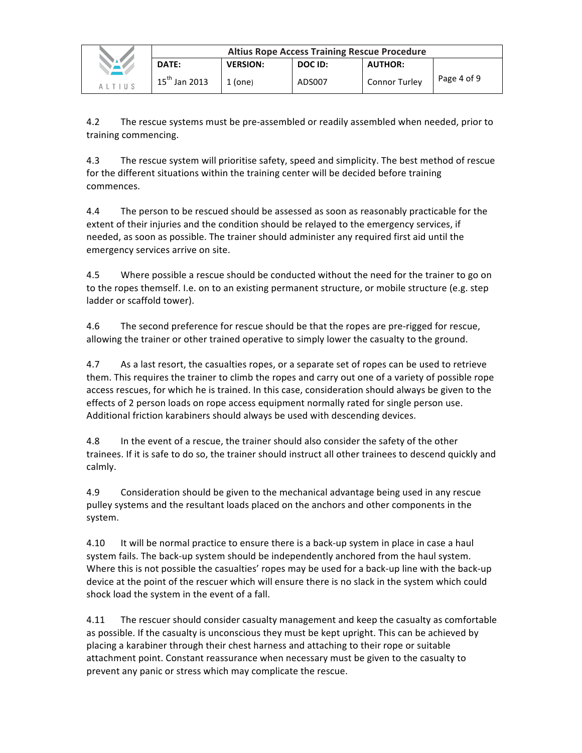|                | <b>Altius Rope Access Training Rescue Procedure</b> |                 |         |                      |             |
|----------------|-----------------------------------------------------|-----------------|---------|----------------------|-------------|
|                | DATE:                                               | <b>VERSION:</b> | DOC ID: | <b>AUTHOR:</b>       |             |
| $A$   T   II S | $15^{th}$ Jan 2013                                  | 1 (one)         | ADS007  | <b>Connor Turley</b> | Page 4 of 9 |

4.2 The rescue systems must be pre-assembled or readily assembled when needed, prior to training commencing.

4.3 The rescue system will prioritise safety, speed and simplicity. The best method of rescue for the different situations within the training center will be decided before training commences.

4.4 The person to be rescued should be assessed as soon as reasonably practicable for the extent of their injuries and the condition should be relayed to the emergency services, if needed, as soon as possible. The trainer should administer any required first aid until the emergency services arrive on site.

4.5 Where possible a rescue should be conducted without the need for the trainer to go on to the ropes themself. I.e. on to an existing permanent structure, or mobile structure (e.g. step ladder or scaffold tower).

4.6 The second preference for rescue should be that the ropes are pre-rigged for rescue, allowing the trainer or other trained operative to simply lower the casualty to the ground.

4.7 As a last resort, the casualties ropes, or a separate set of ropes can be used to retrieve them. This requires the trainer to climb the ropes and carry out one of a variety of possible rope access rescues, for which he is trained. In this case, consideration should always be given to the effects of 2 person loads on rope access equipment normally rated for single person use. Additional friction karabiners should always be used with descending devices.

4.8 In the event of a rescue, the trainer should also consider the safety of the other trainees. If it is safe to do so, the trainer should instruct all other trainees to descend quickly and calmly.

4.9 Consideration should be given to the mechanical advantage being used in any rescue pulley systems and the resultant loads placed on the anchors and other components in the system.

4.10 It will be normal practice to ensure there is a back-up system in place in case a haul system fails. The back-up system should be independently anchored from the haul system. Where this is not possible the casualties' ropes may be used for a back-up line with the back-up device at the point of the rescuer which will ensure there is no slack in the system which could shock load the system in the event of a fall.

4.11 The rescuer should consider casualty management and keep the casualty as comfortable as possible. If the casualty is unconscious they must be kept upright. This can be achieved by placing a karabiner through their chest harness and attaching to their rope or suitable attachment point. Constant reassurance when necessary must be given to the casualty to prevent any panic or stress which may complicate the rescue.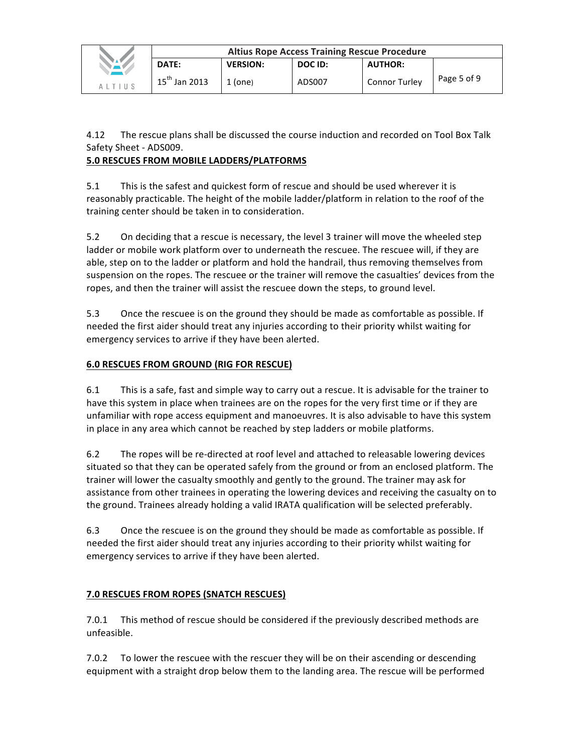|                                         | <b>Altius Rope Access Training Rescue Procedure</b> |                 |         |                |             |  |
|-----------------------------------------|-----------------------------------------------------|-----------------|---------|----------------|-------------|--|
| NAV.                                    | DATE:                                               | <b>VERSION:</b> | DOC ID: | <b>AUTHOR:</b> |             |  |
| $A$ $\perp$ $T$ $\perp$ $\parallel$ $S$ | $15^{th}$ Jan 2013                                  | $1$ (one)       | ADS007  | Connor Turley  | Page 5 of 9 |  |

4.12 The rescue plans shall be discussed the course induction and recorded on Tool Box Talk Safety Sheet - ADS009.

# **5.0 RESCUES FROM MOBILE LADDERS/PLATFORMS**

5.1 This is the safest and quickest form of rescue and should be used wherever it is reasonably practicable. The height of the mobile ladder/platform in relation to the roof of the training center should be taken in to consideration.

5.2 On deciding that a rescue is necessary, the level 3 trainer will move the wheeled step ladder or mobile work platform over to underneath the rescuee. The rescuee will, if they are able, step on to the ladder or platform and hold the handrail, thus removing themselves from suspension on the ropes. The rescuee or the trainer will remove the casualties' devices from the ropes, and then the trainer will assist the rescuee down the steps, to ground level.

5.3 Once the rescuee is on the ground they should be made as comfortable as possible. If needed the first aider should treat any injuries according to their priority whilst waiting for emergency services to arrive if they have been alerted.

# **6.0 RESCUES FROM GROUND (RIG FOR RESCUE)**

6.1 This is a safe, fast and simple way to carry out a rescue. It is advisable for the trainer to have this system in place when trainees are on the ropes for the very first time or if they are unfamiliar with rope access equipment and manoeuvres. It is also advisable to have this system in place in any area which cannot be reached by step ladders or mobile platforms.

6.2 The ropes will be re-directed at roof level and attached to releasable lowering devices situated so that they can be operated safely from the ground or from an enclosed platform. The trainer will lower the casualty smoothly and gently to the ground. The trainer may ask for assistance from other trainees in operating the lowering devices and receiving the casualty on to the ground. Trainees already holding a valid IRATA qualification will be selected preferably.

6.3 Once the rescuee is on the ground they should be made as comfortable as possible. If needed the first aider should treat any injuries according to their priority whilst waiting for emergency services to arrive if they have been alerted.

# **7.0 RESCUES FROM ROPES (SNATCH RESCUES)**

7.0.1 This method of rescue should be considered if the previously described methods are unfeasible.

7.0.2 To lower the rescuee with the rescuer they will be on their ascending or descending equipment with a straight drop below them to the landing area. The rescue will be performed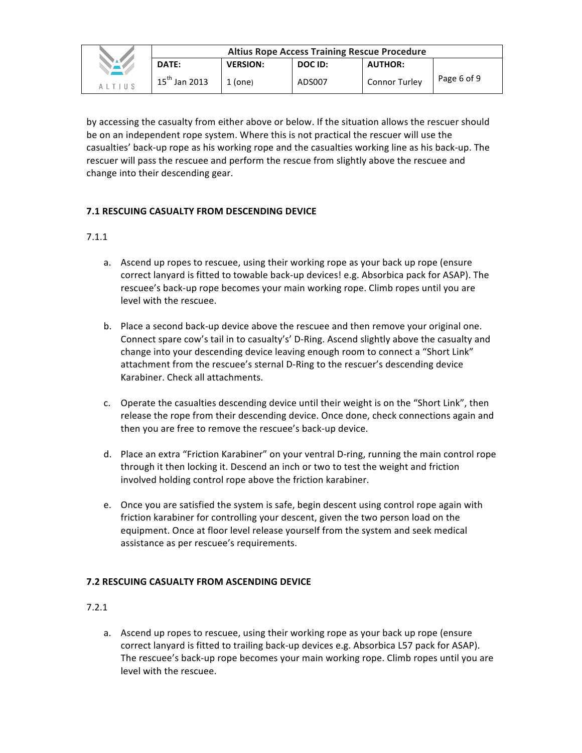|                  | <b>Altius Rope Access Training Rescue Procedure</b> |                 |         |                      |             |
|------------------|-----------------------------------------------------|-----------------|---------|----------------------|-------------|
| $\sum_{\lambda}$ | DATE:                                               | <b>VERSION:</b> | DOC ID: | <b>AUTHOR:</b>       |             |
| AITIIS           | $15^{th}$ Jan 2013                                  | $1$ (one)       | ADS007  | <b>Connor Turley</b> | Page 6 of 9 |

by accessing the casualty from either above or below. If the situation allows the rescuer should be on an independent rope system. Where this is not practical the rescuer will use the casualties' back-up rope as his working rope and the casualties working line as his back-up. The rescuer will pass the rescuee and perform the rescue from slightly above the rescuee and change into their descending gear.

## **7.1 RESCUING CASUALTY FROM DESCENDING DEVICE**

## 7.1.1

- a. Ascend up ropes to rescuee, using their working rope as your back up rope (ensure correct lanyard is fitted to towable back-up devices! e.g. Absorbica pack for ASAP). The rescuee's back-up rope becomes your main working rope. Climb ropes until you are level with the rescuee.
- b. Place a second back-up device above the rescuee and then remove your original one. Connect spare cow's tail in to casualty's' D-Ring. Ascend slightly above the casualty and change into your descending device leaving enough room to connect a "Short Link" attachment from the rescuee's sternal D-Ring to the rescuer's descending device Karabiner. Check all attachments.
- c. Operate the casualties descending device until their weight is on the "Short Link", then release the rope from their descending device. Once done, check connections again and then you are free to remove the rescuee's back-up device.
- d. Place an extra "Friction Karabiner" on your ventral D-ring, running the main control rope through it then locking it. Descend an inch or two to test the weight and friction involved holding control rope above the friction karabiner.
- e. Once you are satisfied the system is safe, begin descent using control rope again with friction karabiner for controlling your descent, given the two person load on the equipment. Once at floor level release yourself from the system and seek medical assistance as per rescuee's requirements.

## **7.2 RESCUING CASUALTY FROM ASCENDING DEVICE**

## 7.2.1

a. Ascend up ropes to rescuee, using their working rope as your back up rope (ensure correct lanyard is fitted to trailing back-up devices e.g. Absorbica L57 pack for ASAP). The rescuee's back-up rope becomes your main working rope. Climb ropes until you are level with the rescuee.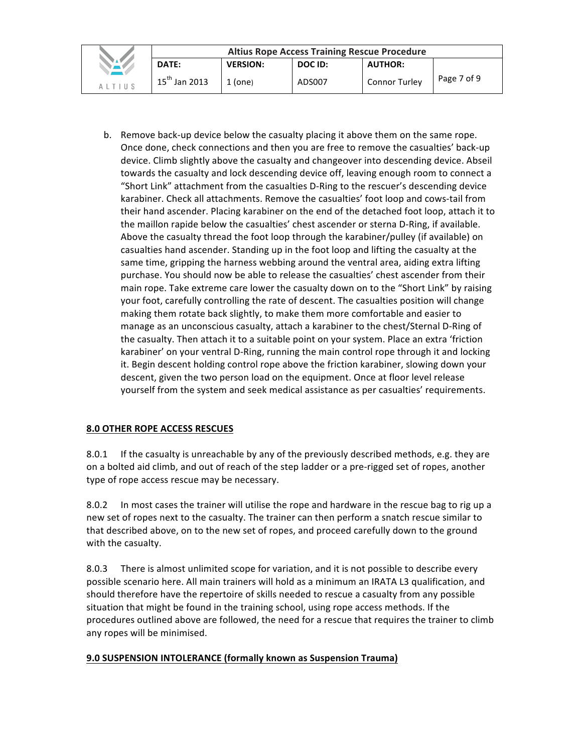|                     | <b>Altius Rope Access Training Rescue Procedure</b> |                 |         |                |             |
|---------------------|-----------------------------------------------------|-----------------|---------|----------------|-------------|
|                     | DATE:                                               | <b>VERSION:</b> | DOC ID: | <b>AUTHOR:</b> |             |
| $\Delta$   T   II S | $15^{th}$ Jan 2013                                  | $1$ (one)       | ADS007  | Connor Turley  | Page 7 of 9 |

b. Remove back-up device below the casualty placing it above them on the same rope. Once done, check connections and then you are free to remove the casualties' back-up device. Climb slightly above the casualty and changeover into descending device. Abseil towards the casualty and lock descending device off, leaving enough room to connect a "Short Link" attachment from the casualties D-Ring to the rescuer's descending device karabiner. Check all attachments. Remove the casualties' foot loop and cows-tail from their hand ascender. Placing karabiner on the end of the detached foot loop, attach it to the maillon rapide below the casualties' chest ascender or sterna D-Ring, if available. Above the casualty thread the foot loop through the karabiner/pulley (if available) on casualties hand ascender. Standing up in the foot loop and lifting the casualty at the same time, gripping the harness webbing around the ventral area, aiding extra lifting purchase. You should now be able to release the casualties' chest ascender from their main rope. Take extreme care lower the casualty down on to the "Short Link" by raising your foot, carefully controlling the rate of descent. The casualties position will change making them rotate back slightly, to make them more comfortable and easier to manage as an unconscious casualty, attach a karabiner to the chest/Sternal D-Ring of the casualty. Then attach it to a suitable point on your system. Place an extra 'friction karabiner' on your ventral D-Ring, running the main control rope through it and locking it. Begin descent holding control rope above the friction karabiner, slowing down your descent, given the two person load on the equipment. Once at floor level release yourself from the system and seek medical assistance as per casualties' requirements.

# **8.0 OTHER ROPE ACCESS RESCUES**

8.0.1 If the casualty is unreachable by any of the previously described methods, e.g. they are on a bolted aid climb, and out of reach of the step ladder or a pre-rigged set of ropes, another type of rope access rescue may be necessary.

8.0.2 In most cases the trainer will utilise the rope and hardware in the rescue bag to rig up a new set of ropes next to the casualty. The trainer can then perform a snatch rescue similar to that described above, on to the new set of ropes, and proceed carefully down to the ground with the casualty.

8.0.3 There is almost unlimited scope for variation, and it is not possible to describe every possible scenario here. All main trainers will hold as a minimum an IRATA L3 qualification, and should therefore have the repertoire of skills needed to rescue a casualty from any possible situation that might be found in the training school, using rope access methods. If the procedures outlined above are followed, the need for a rescue that requires the trainer to climb any ropes will be minimised.

## **9.0 SUSPENSION INTOLERANCE (formally known as Suspension Trauma)**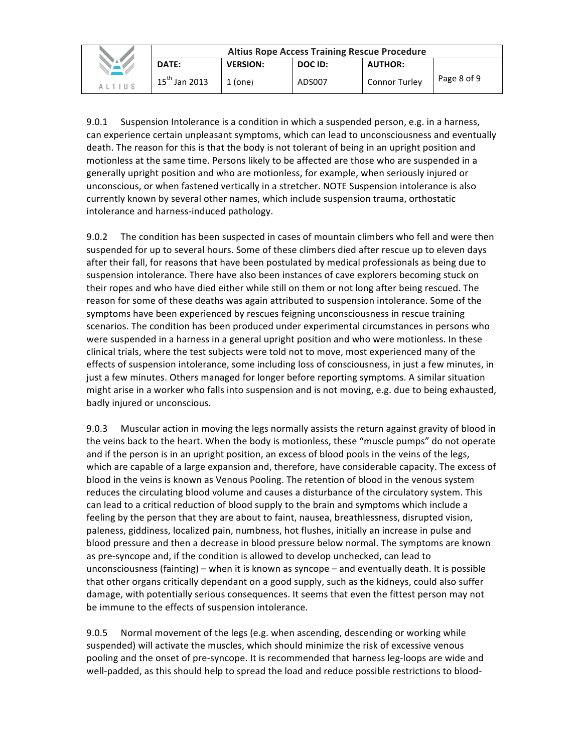|                                         | <b>Altius Rope Access Training Rescue Procedure</b> |                 |         |                      |             |
|-----------------------------------------|-----------------------------------------------------|-----------------|---------|----------------------|-------------|
| NAV.                                    | DATE:                                               | <b>VERSION:</b> | DOC ID: | <b>AUTHOR:</b>       |             |
| $A$ $\perp$ $T$ $\perp$ $\parallel$ $S$ | $15^{th}$ Jan 2013                                  | $1$ (one)       | ADS007  | <b>Connor Turley</b> | Page 8 of 9 |

9.0.1 Suspension Intolerance is a condition in which a suspended person, e.g. in a harness, can experience certain unpleasant symptoms, which can lead to unconsciousness and eventually death. The reason for this is that the body is not tolerant of being in an upright position and motionless at the same time. Persons likely to be affected are those who are suspended in a generally upright position and who are motionless, for example, when seriously injured or unconscious, or when fastened vertically in a stretcher. NOTE Suspension intolerance is also currently known by several other names, which include suspension trauma, orthostatic intolerance and harness-induced pathology.

9.0.2 The condition has been suspected in cases of mountain climbers who fell and were then suspended for up to several hours. Some of these climbers died after rescue up to eleven days after their fall, for reasons that have been postulated by medical professionals as being due to suspension intolerance. There have also been instances of cave explorers becoming stuck on their ropes and who have died either while still on them or not long after being rescued. The reason for some of these deaths was again attributed to suspension intolerance. Some of the symptoms have been experienced by rescues feigning unconsciousness in rescue training scenarios. The condition has been produced under experimental circumstances in persons who were suspended in a harness in a general upright position and who were motionless. In these clinical trials, where the test subjects were told not to move, most experienced many of the effects of suspension intolerance, some including loss of consciousness, in just a few minutes, in just a few minutes. Others managed for longer before reporting symptoms. A similar situation might arise in a worker who falls into suspension and is not moving, e.g. due to being exhausted, badly injured or unconscious.

9.0.3 Muscular action in moving the legs normally assists the return against gravity of blood in the veins back to the heart. When the body is motionless, these "muscle pumps" do not operate and if the person is in an upright position, an excess of blood pools in the veins of the legs, which are capable of a large expansion and, therefore, have considerable capacity. The excess of blood in the veins is known as Venous Pooling. The retention of blood in the venous system reduces the circulating blood volume and causes a disturbance of the circulatory system. This can lead to a critical reduction of blood supply to the brain and symptoms which include a feeling by the person that they are about to faint, nausea, breathlessness, disrupted vision, paleness, giddiness, localized pain, numbness, hot flushes, initially an increase in pulse and blood pressure and then a decrease in blood pressure below normal. The symptoms are known as pre-syncope and, if the condition is allowed to develop unchecked, can lead to unconsciousness (fainting) – when it is known as syncope – and eventually death. It is possible that other organs critically dependant on a good supply, such as the kidneys, could also suffer damage, with potentially serious consequences. It seems that even the fittest person may not be immune to the effects of suspension intolerance.

9.0.5 Normal movement of the legs (e.g. when ascending, descending or working while suspended) will activate the muscles, which should minimize the risk of excessive venous pooling and the onset of pre-syncope. It is recommended that harness leg-loops are wide and well-padded, as this should help to spread the load and reduce possible restrictions to blood-